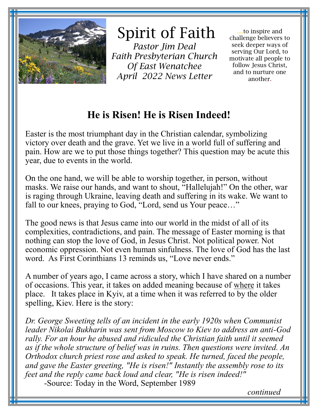

Spirit of Faith

*Pastor Jim Deal Faith Presbyterian Church Of East Wenatchee April 2022 News Letter* 

....to inspire and challenge believers to seek deeper ways of serving Our Lord, to motivate all people to follow Jesus Christ, and to nurture one another.

## **He is Risen! He is Risen Indeed!**

Easter is the most triumphant day in the Christian calendar, symbolizing victory over death and the grave. Yet we live in a world full of suffering and pain. How are we to put those things together? This question may be acute this year, due to events in the world.

On the one hand, we will be able to worship together, in person, without masks. We raise our hands, and want to shout, "Hallelujah!" On the other, war is raging through Ukraine, leaving death and suffering in its wake. We want to fall to our knees, praying to God, "Lord, send us Your peace…"

The good news is that Jesus came into our world in the midst of all of its complexities, contradictions, and pain. The message of Easter morning is that nothing can stop the love of God, in Jesus Christ. Not political power. Not economic oppression. Not even human sinfulness. The love of God has the last word. As First Corinthians 13 reminds us, "Love never ends."

A number of years ago, I came across a story, which I have shared on a number of occasions. This year, it takes on added meaning because of where it takes place. It takes place in Kyiv, at a time when it was referred to by the older spelling, Kiev. Here is the story:

*Dr. George Sweeting tells of an incident in the early 1920s when Communist leader Nikolai Bukharin was sent from Moscow to Kiev to address an anti-God rally. For an hour he abused and ridiculed the Christian faith until it seemed as if the whole structure of belief was in ruins. Then questions were invited. An Orthodox church priest rose and asked to speak. He turned, faced the people, and gave the Easter greeting, "He is risen!" Instantly the assembly rose to its feet and the reply came back loud and clear, "He is risen indeed!"* -Source: Today in the Word, September 1989

*continued*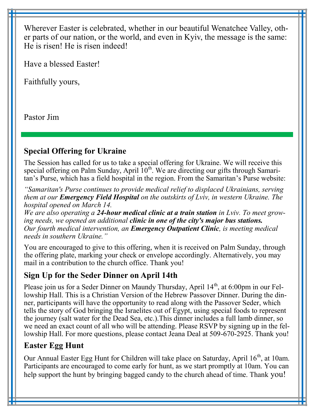Wherever Easter is celebrated, whether in our beautiful Wenatchee Valley, other parts of our nation, or the world, and even in Kyiv, the message is the same: He is risen! He is risen indeed!

Have a blessed Easter!

Faithfully yours,

Pastor Jim

#### **Special Offering for Ukraine**

The Session has called for us to take a special offering for Ukraine. We will receive this special offering on Palm Sunday, April  $10<sup>th</sup>$ . We are directing our gifts through Samaritan's Purse, which has a field hospital in the region. From the Samaritan's Purse website:

*"Samaritan's Purse continues to provide medical relief to displaced Ukrainians, serving them at our Emergency Field Hospital on the outskirts of Lviv, in western Ukraine. The hospital opened on March 14.*

*We are also operating a 24-hour medical clinic at a train station in Lviv. To meet growing needs, we opened an additional clinic in one of the city's major bus stations. Our fourth medical intervention, an Emergency Outpatient Clinic, is meeting medical needs in southern Ukraine."*

You are encouraged to give to this offering, when it is received on Palm Sunday, through the offering plate, marking your check or envelope accordingly. Alternatively, you may mail in a contribution to the church office. Thank you!

## **Sign Up for the Seder Dinner on April 14th**

Please join us for a Seder Dinner on Maundy Thursday, April 14<sup>th</sup>, at 6:00pm in our Fellowship Hall. This is a Christian Version of the Hebrew Passover Dinner. During the dinner, participants will have the opportunity to read along with the Passover Seder, which tells the story of God bringing the Israelites out of Egypt, using special foods to represent the journey (salt water for the Dead Sea, etc.).This dinner includes a full lamb dinner, so we need an exact count of all who will be attending. Please RSVP by signing up in the fellowship Hall. For more questions, please contact Jeana Deal at 509-670-2925. Thank you!

## **Easter Egg Hunt**

Our Annual Easter Egg Hunt for Children will take place on Saturday, April  $16<sup>th</sup>$ , at 10am. Participants are encouraged to come early for hunt, as we start promptly at 10am. You can help support the hunt by bringing bagged candy to the church ahead of time. Thank you!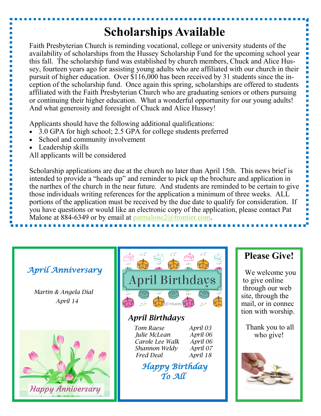# **Scholarships Available**

Faith Presbyterian Church is reminding vocational, college or university students of the availability of scholarships from the Hussey Scholarship Fund for the upcoming school year this fall. The scholarship fund was established by church members, Chuck and Alice Hussey, fourteen years ago for assisting young adults who are affiliated with our church in their pursuit of higher education. Over \$116,000 has been received by 31 students since the inception of the scholarship fund. Once again this spring, scholarships are offered to students affiliated with the Faith Presbyterian Church who are graduating seniors or others pursuing or continuing their higher education. What a wonderful opportunity for our young adults! And what generosity and foresight of Chuck and Alice Hussey!

Applicants should have the following additional qualifications:

- 3.0 GPA for high school; 2.5 GPA for college students preferred
- School and community involvement
- Leadership skills

All applicants will be considered

Scholarship applications are due at the church no later than April 15th. This news brief is intended to provide a "heads up" and reminder to pick up the brochure and application in the narthex of the church in the near future. And students are reminded to be certain to give those individuals writing references for the application a minimum of three weeks. ALL portions of the application must be received by the due date to qualify for consideration. If you have questions or would like an electronic copy of the application, please contact Pat Malone at 884-6349 or by email at patmalone  $2\omega$  frontier.com.

## *April Anniversary*

*Martin & Angela Dial April 14*





## *April Birthdays*

*Tom Raese April 03 Julie McLean April 06 Carole Lee Walk April 06 Shannon Weldy April 07 Fred Deal April 18*

 *Happy Birthday To All* 

## **Please Give!**

 We welcome you to give online through our web site, through the mail, or in connec tion with worship.

Thank you to all who give!